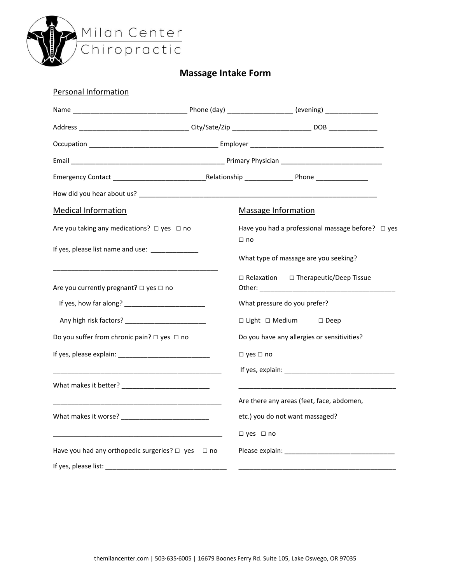

## **Massage Intake Form**

| <b>Personal Information</b>                                                                                          |           |                                                                                                                       |
|----------------------------------------------------------------------------------------------------------------------|-----------|-----------------------------------------------------------------------------------------------------------------------|
|                                                                                                                      |           |                                                                                                                       |
|                                                                                                                      |           |                                                                                                                       |
|                                                                                                                      |           |                                                                                                                       |
|                                                                                                                      |           |                                                                                                                       |
|                                                                                                                      |           |                                                                                                                       |
|                                                                                                                      |           |                                                                                                                       |
| <b>Medical Information</b>                                                                                           |           | <b>Massage Information</b>                                                                                            |
| Are you taking any medications? $\Box$ yes $\Box$ no                                                                 |           | Have you had a professional massage before? $\Box$ yes                                                                |
| If yes, please list name and use: _____________                                                                      |           | $\Box$ no<br>What type of massage are you seeking?                                                                    |
| Are you currently pregnant? $\Box$ yes $\Box$ no                                                                     |           | □ Relaxation □ Therapeutic/Deep Tissue                                                                                |
|                                                                                                                      |           | What pressure do you prefer?                                                                                          |
|                                                                                                                      |           | □ Light □ Medium □ Deep                                                                                               |
| Do you suffer from chronic pain? $\Box$ yes $\Box$ no                                                                |           | Do you have any allergies or sensitivities?                                                                           |
|                                                                                                                      |           | $\Box$ yes $\Box$ no                                                                                                  |
|                                                                                                                      |           |                                                                                                                       |
|                                                                                                                      |           | <u> 1989 - Johann Stoff, deutscher Stoff, der Stoff, der Stoff, der Stoff, der Stoff, der Stoff, der Stoff, der S</u> |
|                                                                                                                      |           | Are there any areas (feet, face, abdomen,                                                                             |
|                                                                                                                      |           | etc.) you do not want massaged?                                                                                       |
| <u> 1980 - Johann John Stein, markin fan it ferstjer fan de ferstjer fan it ferstjer fan de ferstjer fan it fers</u> |           | $\Box$ yes $\Box$ no                                                                                                  |
| Have you had any orthopedic surgeries? $\Box$ yes                                                                    | $\Box$ no |                                                                                                                       |
|                                                                                                                      |           |                                                                                                                       |